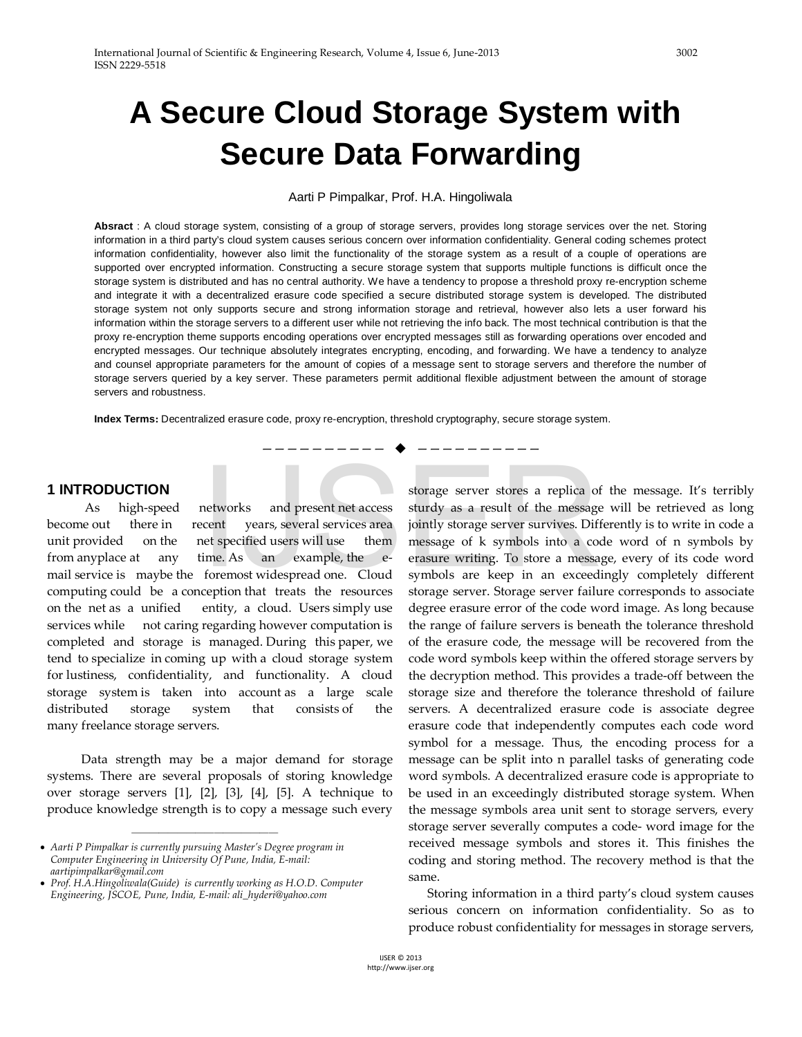# **A Secure Cloud Storage System with Secure Data Forwarding**

Aarti P Pimpalkar, Prof. H.A. Hingoliwala

**Absract** : A cloud storage system, consisting of a group of storage servers, provides long storage services over the net. Storing information in a third party's cloud system causes serious concern over information confidentiality. General coding schemes protect information confidentiality, however also limit the functionality of the storage system as a result of a couple of operations are supported over encrypted information. Constructing a secure storage system that supports multiple functions is difficult once the storage system is distributed and has no central authority. We have a tendency to propose a threshold proxy re-encryption scheme and integrate it with a decentralized erasure code specified a secure distributed storage system is developed. The distributed storage system not only supports secure and strong information storage and retrieval, however also lets a user forward his information within the storage servers to a different user while not retrieving the info back. The most technical contribution is that the proxy re-encryption theme supports encoding operations over encrypted messages still as forwarding operations over encoded and encrypted messages. Our technique absolutely integrates encrypting, encoding, and forwarding. We have a tendency to analyze and counsel appropriate parameters for the amount of copies of a message sent to storage servers and therefore the number of storage servers queried by a key server. These parameters permit additional flexible adjustment between the amount of storage servers and robustness.

—————————— ——————————

**Index Terms:** Decentralized erasure code, proxy re-encryption, threshold cryptography, secure storage system.

### **1 INTRODUCTION**

 As high-speed networks and present net access become out there in recent years, several services area unit provided on the net specified users will use them from anyplace at any time. As an example, the email service is maybe the foremost widespread one. Cloud computing could be a conception that treats the resources on the net as a unified entity, a cloud. Users simply use services while not caring regarding however computation is completed and storage is managed. During this paper, we tend to specialize in coming up with a cloud storage system for lustiness, confidentiality, and functionality. A cloud storage system is taken into account as a large scale distributed storage system that consists of the many freelance storage servers.

 Data strength may be a major demand for storage systems. There are several proposals of storing knowledge over storage servers [1], [2], [3], [4], [5]. A technique to produce knowledge strength is to copy a message such every

————————————————

storage server stores a replica of the message. It's terribly sturdy as a result of the message will be retrieved as long jointly storage server survives. Differently is to write in code a message of k symbols into a code word of n symbols by erasure writing. To store a message, every of its code word symbols are keep in an exceedingly completely different storage server. Storage server failure corresponds to associate degree erasure error of the code word image. As long because the range of failure servers is beneath the tolerance threshold of the erasure code, the message will be recovered from the code word symbols keep within the offered storage servers by the decryption method. This provides a trade-off between the storage size and therefore the tolerance threshold of failure servers. A decentralized erasure code is associate degree erasure code that independently computes each code word symbol for a message. Thus, the encoding process for a message can be split into n parallel tasks of generating code word symbols. A decentralized erasure code is appropriate to be used in an exceedingly distributed storage system. When the message symbols area unit sent to storage servers, every storage server severally computes a code- word image for the received message symbols and stores it. This finishes the coding and storing method. The recovery method is that the same. storage server stores a replica of<br>networks and present net access sturdy as a result of the message<br>cent years, several services area jointly storage server survives. Diff<br>net specified users will use them message of k sy

> Storing information in a third party's cloud system causes serious concern on information confidentiality. So as to produce robust confidentiality for messages in storage servers,

<sup>•</sup> *Aarti P Pimpalkar is currently pursuing Master's Degree program in Computer Engineering in University Of Pune, India, E-mail: aartipimpalkar@gmail.com*

<sup>•</sup> *Prof. H.A.Hingoliwala(Guide) is currently working as H.O.D. Computer Engineering, JSCOE, Pune, India, E-mail: ali\_hyderi@yahoo.com*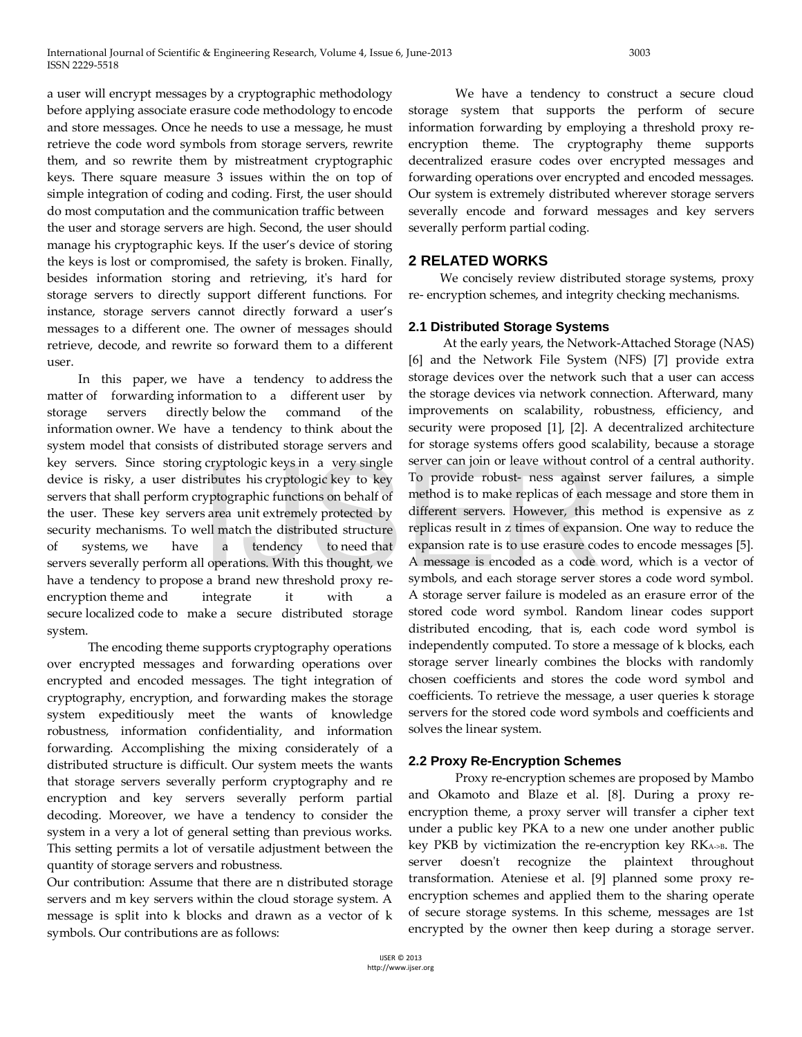a user will encrypt messages by a cryptographic methodology before applying associate erasure code methodology to encode and store messages. Once he needs to use a message, he must retrieve the code word symbols from storage servers, rewrite them, and so rewrite them by mistreatment cryptographic keys. There square measure 3 issues within the on top of simple integration of coding and coding. First, the user should do most computation and the communication traffic between the user and storage servers are high. Second, the user should manage his cryptographic keys. If the user's device of storing the keys is lost or compromised, the safety is broken. Finally, besides information storing and retrieving, it's hard for storage servers to directly support different functions. For instance, storage servers cannot directly forward a user's messages to a different one. The owner of messages should retrieve, decode, and rewrite so forward them to a different user.

 In this paper, we have a tendency to address the matter of forwarding information to a different user by storage servers directly below the command of the information owner. We have a tendency to think about the system model that consists of distributed storage servers and key servers. Since storing cryptologic keys in a very single device is risky, a user distributes his cryptologic key to key servers that shall perform cryptographic functions on behalf of the user. These key servers area unit extremely protected by security mechanisms. To well match the distributed structure of systems, we have a tendency to need that servers severally perform all operations. With this thought, we have a tendency to propose a brand new threshold proxy reencryption theme and integrate it with a secure localized code to make a secure distributed storage system. cryptologic keys in a very single<br>
To provide robust- ness against<br>
cributes his cryptologic key to key<br>
To provide robust- ness against<br>
symptographic functions on behalf of<br>
a sarea unit extremely protected by<br>
different

 The encoding theme supports cryptography operations over encrypted messages and forwarding operations over encrypted and encoded messages. The tight integration of cryptography, encryption, and forwarding makes the storage system expeditiously meet the wants of knowledge robustness, information confidentiality, and information forwarding. Accomplishing the mixing considerately of a distributed structure is difficult. Our system meets the wants that storage servers severally perform cryptography and re encryption and key servers severally perform partial decoding. Moreover, we have a tendency to consider the system in a very a lot of general setting than previous works. This setting permits a lot of versatile adjustment between the quantity of storage servers and robustness.

Our contribution: Assume that there are n distributed storage servers and m key servers within the cloud storage system. A message is split into k blocks and drawn as a vector of k symbols. Our contributions are as follows:

 We have a tendency to construct a secure cloud storage system that supports the perform of secure information forwarding by employing a threshold proxy reencryption theme. The cryptography theme supports decentralized erasure codes over encrypted messages and forwarding operations over encrypted and encoded messages. Our system is extremely distributed wherever storage servers severally encode and forward messages and key servers severally perform partial coding.

## **2 RELATED WORKS**

 We concisely review distributed storage systems, proxy re- encryption schemes, and integrity checking mechanisms.

## **2.1 Distributed Storage Systems**

 At the early years, the Network-Attached Storage (NAS) [6] and the Network File System (NFS) [7] provide extra storage devices over the network such that a user can access the storage devices via network connection. Afterward, many improvements on scalability, robustness, efficiency, and security were proposed [1], [2]. A decentralized architecture for storage systems offers good scalability, because a storage server can join or leave without control of a central authority. To provide robust- ness against server failures, a simple method is to make replicas of each message and store them in different servers. However, this method is expensive as z replicas result in z times of expansion. One way to reduce the expansion rate is to use erasure codes to encode messages [5]. A message is encoded as a code word, which is a vector of symbols, and each storage server stores a code word symbol. A storage server failure is modeled as an erasure error of the stored code word symbol. Random linear codes support distributed encoding, that is, each code word symbol is independently computed. To store a message of k blocks, each storage server linearly combines the blocks with randomly chosen coefficients and stores the code word symbol and coefficients. To retrieve the message, a user queries k storage servers for the stored code word symbols and coefficients and solves the linear system.

#### **2.2 Proxy Re-Encryption Schemes**

 Proxy re-encryption schemes are proposed by Mambo and Okamoto and Blaze et al. [8]. During a proxy reencryption theme, a proxy server will transfer a cipher text under a public key PKA to a new one under another public key PKB by victimization the re-encryption key RKA->B. The server doesn't recognize the plaintext throughout transformation. Ateniese et al. [9] planned some proxy reencryption schemes and applied them to the sharing operate of secure storage systems. In this scheme, messages are 1st encrypted by the owner then keep during a storage server.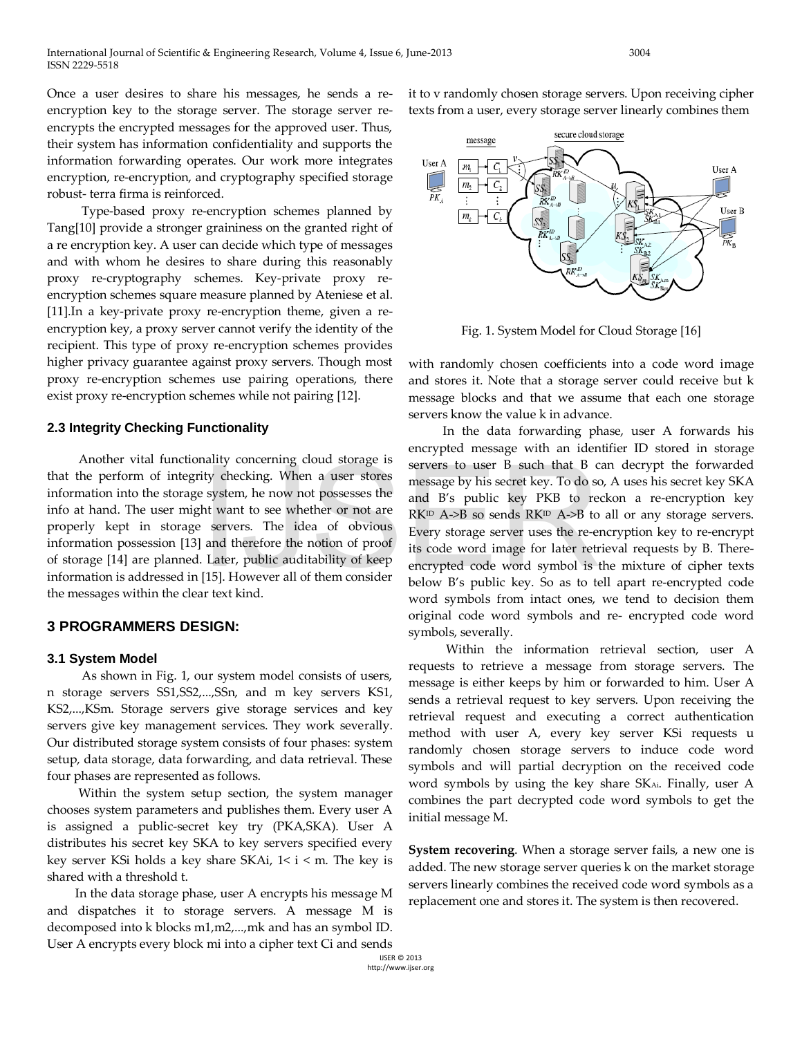Once a user desires to share his messages, he sends a reencryption key to the storage server. The storage server reencrypts the encrypted messages for the approved user. Thus, their system has information confidentiality and supports the information forwarding operates. Our work more integrates encryption, re-encryption, and cryptography specified storage robust- terra firma is reinforced.

 Type-based proxy re-encryption schemes planned by Tang[10] provide a stronger graininess on the granted right of a re encryption key. A user can decide which type of messages and with whom he desires to share during this reasonably proxy re-cryptography schemes. Key-private proxy reencryption schemes square measure planned by Ateniese et al. [11].In a key-private proxy re-encryption theme, given a reencryption key, a proxy server cannot verify the identity of the recipient. This type of proxy re-encryption schemes provides higher privacy guarantee against proxy servers. Though most proxy re-encryption schemes use pairing operations, there exist proxy re-encryption schemes while not pairing [12].

#### **2.3 Integrity Checking Functionality**

 Another vital functionality concerning cloud storage is that the perform of integrity checking. When a user stores information into the storage system, he now not possesses the info at hand. The user might want to see whether or not are properly kept in storage servers. The idea of obvious information possession [13] and therefore the notion of proof of storage [14] are planned. Later, public auditability of keep information is addressed in [15]. However all of them consider the messages within the clear text kind. Example 19 and 50 and 50 and 50 and 50 and 50 and 50 and 50 and 50 and 50 and 50 and 50 and 50 and 50 and 50 and 50 and 50 and 50 and 50 and 50 and 50 and 50 and 50 and 50 and 50 and 50 and 50 and 50 and 50 and 50 and 50

## **3 PROGRAMMERS DESIGN:**

## **3.1 System Model**

 As shown in Fig. 1, our system model consists of users, n storage servers SS1,SS2,...,SSn, and m key servers KS1, KS2,...,KSm. Storage servers give storage services and key servers give key management services. They work severally. Our distributed storage system consists of four phases: system setup, data storage, data forwarding, and data retrieval. These four phases are represented as follows.

 Within the system setup section, the system manager chooses system parameters and publishes them. Every user A is assigned a public-secret key try (PKA,SKA). User A distributes his secret key SKA to key servers specified every key server KSi holds a key share SKAi,  $1 < i < m$ . The key is shared with a threshold t.

 In the data storage phase, user A encrypts his message M and dispatches it to storage servers. A message M is decomposed into k blocks m1,m2,...,mk and has an symbol ID. User A encrypts every block mi into a cipher text Ci and sends

it to v randomly chosen storage servers. Upon receiving cipher texts from a user, every storage server linearly combines them



Fig. 1. System Model for Cloud Storage [16]

with randomly chosen coefficients into a code word image and stores it. Note that a storage server could receive but k message blocks and that we assume that each one storage servers know the value k in advance.

 In the data forwarding phase, user A forwards his encrypted message with an identifier ID stored in storage servers to user B such that B can decrypt the forwarded message by his secret key. To do so, A uses his secret key SKA and B's public key PKB to reckon a re-encryption key  $RK^{\text{ID}}$  A->B so sends  $RK^{\text{ID}}$  A->B to all or any storage servers. Every storage server uses the re-encryption key to re-encrypt its code word image for later retrieval requests by B. Thereencrypted code word symbol is the mixture of cipher texts below B's public key. So as to tell apart re-encrypted code word symbols from intact ones, we tend to decision them original code word symbols and re- encrypted code word symbols, severally.

 Within the information retrieval section, user A requests to retrieve a message from storage servers. The message is either keeps by him or forwarded to him. User A sends a retrieval request to key servers. Upon receiving the retrieval request and executing a correct authentication method with user A, every key server KSi requests u randomly chosen storage servers to induce code word symbols and will partial decryption on the received code word symbols by using the key share SKAi. Finally, user A combines the part decrypted code word symbols to get the initial message M.

**System recovering**. When a storage server fails, a new one is added. The new storage server queries k on the market storage servers linearly combines the received code word symbols as a replacement one and stores it. The system is then recovered.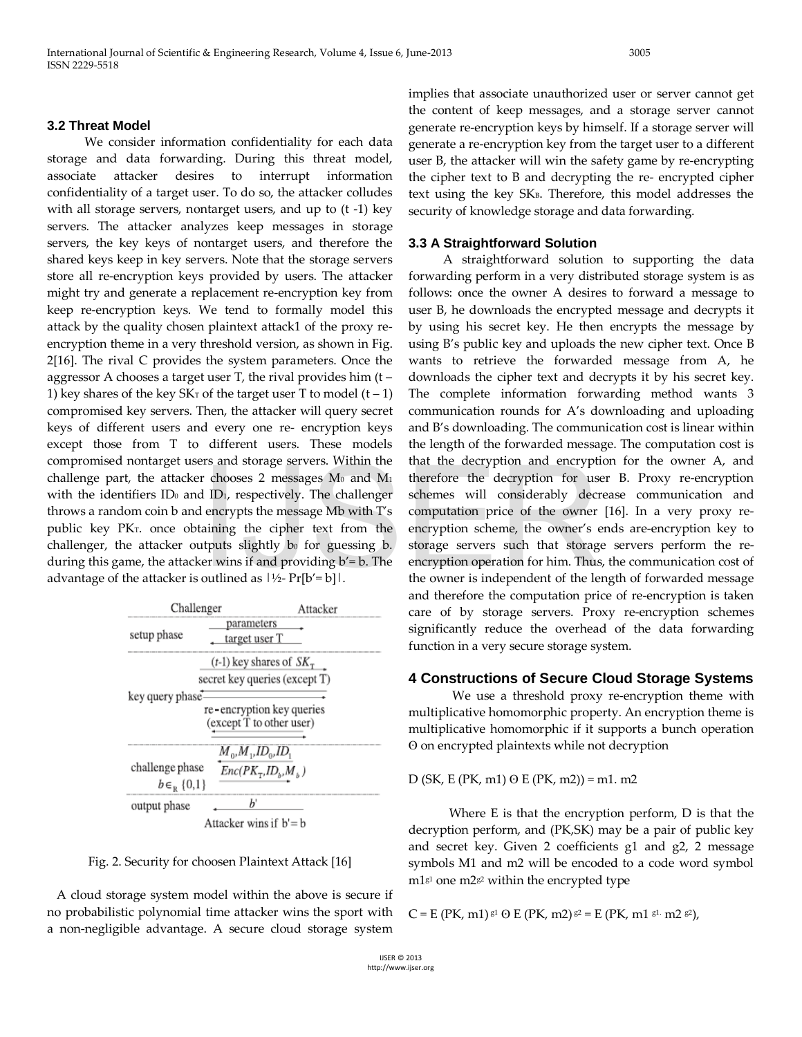## **3.2 Threat Model**

 We consider information confidentiality for each data storage and data forwarding. During this threat model, associate attacker desires to interrupt information confidentiality of a target user. To do so, the attacker colludes with all storage servers, nontarget users, and up to (t -1) key servers. The attacker analyzes keep messages in storage servers, the key keys of nontarget users, and therefore the shared keys keep in key servers. Note that the storage servers store all re-encryption keys provided by users. The attacker might try and generate a replacement re-encryption key from keep re-encryption keys. We tend to formally model this attack by the quality chosen plaintext attack1 of the proxy reencryption theme in a very threshold version, as shown in Fig. 2[16]. The rival C provides the system parameters. Once the aggressor A chooses a target user T, the rival provides him (t – 1) key shares of the key  $SK_T$  of the target user T to model  $(t - 1)$ compromised key servers. Then, the attacker will query secret keys of different users and every one re- encryption keys except those from T to different users. These models compromised nontarget users and storage servers. Within the challenge part, the attacker chooses 2 messages  $M_0$  and  $M_1$ with the identifiers  $ID_0$  and  $ID_1$ , respectively. The challenger throws a random coin b and encrypts the message Mb with T's public key PKT. once obtaining the cipher text from the challenger, the attacker outputs slightly  $b_0$  for guessing  $b$ . during this game, the attacker wins if and providing b'= b. The advantage of the attacker is outlined as  $|\frac{1}{2}$ - Pr[b'= b].

| Challenger                             |                                                                                                                      | Attacker |
|----------------------------------------|----------------------------------------------------------------------------------------------------------------------|----------|
| setup phase                            | parameters<br>target user T                                                                                          |          |
|                                        | $(t-1)$ key shares of $SK_{\tau}$<br>secret key queries (except T)                                                   |          |
| key query phase                        | re-encryption key queries<br>(except T to other user)                                                                |          |
| challenge phase<br>$b \in_{R} \{0,1\}$ | $M_{0}$ , $M_{1}$ , $ID_{0}$ , $ID_{1}$<br>$Enc(PK_{\text{T}}, ID_{\scriptscriptstyle b}, M_{\scriptscriptstyle b})$ |          |
| output phase                           | h'                                                                                                                   |          |
|                                        | Attacker wins if $b' = b$                                                                                            |          |

Fig. 2. Security for choosen Plaintext Attack [16]

 A cloud storage system model within the above is secure if no probabilistic polynomial time attacker wins the sport with a non-negligible advantage. A secure cloud storage system

implies that associate unauthorized user or server cannot get the content of keep messages, and a storage server cannot generate re-encryption keys by himself. If a storage server will generate a re-encryption key from the target user to a different user B, the attacker will win the safety game by re-encrypting the cipher text to B and decrypting the re- encrypted cipher text using the key SKB. Therefore, this model addresses the security of knowledge storage and data forwarding.

#### **3.3 A Straightforward Solution**

 A straightforward solution to supporting the data forwarding perform in a very distributed storage system is as follows: once the owner A desires to forward a message to user B, he downloads the encrypted message and decrypts it by using his secret key. He then encrypts the message by using B's public key and uploads the new cipher text. Once B wants to retrieve the forwarded message from A, he downloads the cipher text and decrypts it by his secret key. The complete information forwarding method wants 3 communication rounds for A's downloading and uploading and B's downloading. The communication cost is linear within the length of the forwarded message. The computation cost is that the decryption and encryption for the owner A, and therefore the decryption for user B. Proxy re-encryption schemes will considerably decrease communication and computation price of the owner [16]. In a very proxy reencryption scheme, the owner's ends are-encryption key to storage servers such that storage servers perform the reencryption operation for him. Thus, the communication cost of the owner is independent of the length of forwarded message and therefore the computation price of re-encryption is taken care of by storage servers. Proxy re-encryption schemes significantly reduce the overhead of the data forwarding function in a very secure storage system. From the state of the decryption and encryptial relations 2 messages  $M_0$  and  $M_1$  therefore the decryption for use of the D<sub>1</sub>, respectively. The challenger schemes will considerably decretively the message  $M_0$  with

#### **4 Constructions of Secure Cloud Storage Systems**

 We use a threshold proxy re-encryption theme with multiplicative homomorphic property. An encryption theme is multiplicative homomorphic if it supports a bunch operation ʘ on encrypted plaintexts while not decryption

 $D$  (SK, E (PK, m1)  $\Theta$  E (PK, m2)) = m1. m2

 Where E is that the encryption perform, D is that the decryption perform, and (PK,SK) may be a pair of public key and secret key. Given 2 coefficients g1 and g2, 2 message symbols M1 and m2 will be encoded to a code word symbol  $m1<sup>g1</sup>$  one m2 $s<sup>2</sup>$  within the encrypted type

 $C = E (PK, m1)$  g1  $O E (PK, m2)$  g2 = E (PK, m1 g1. m2 g2),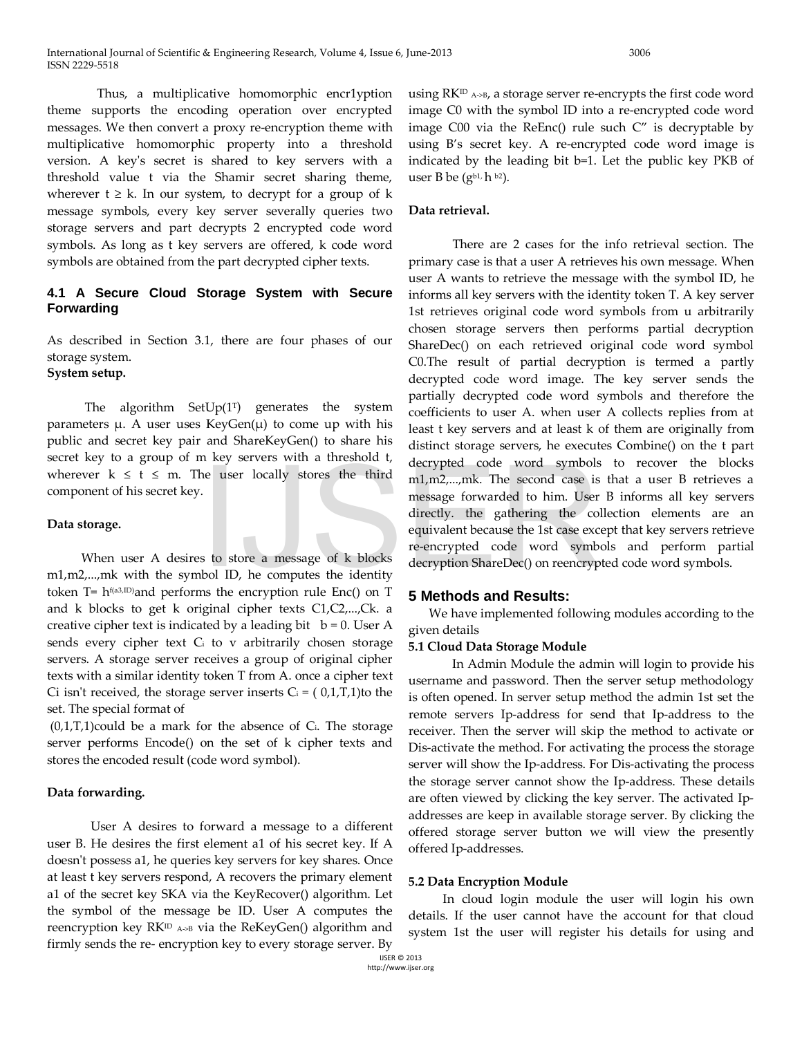Thus, a multiplicative homomorphic encr1yption theme supports the encoding operation over encrypted messages. We then convert a proxy re-encryption theme with multiplicative homomorphic property into a threshold version. A key's secret is shared to key servers with a threshold value t via the Shamir secret sharing theme, wherever  $t \geq k$ . In our system, to decrypt for a group of k message symbols, every key server severally queries two storage servers and part decrypts 2 encrypted code word symbols. As long as t key servers are offered, k code word symbols are obtained from the part decrypted cipher texts.

## **4.1 A Secure Cloud Storage System with Secure Forwarding**

As described in Section 3.1, there are four phases of our storage system.

**System setup.**

The algorithm SetUp $(1^T)$  generates the system parameters  $\mu$ . A user uses KeyGen $(\mu)$  to come up with his public and secret key pair and ShareKeyGen() to share his secret key to a group of m key servers with a threshold t, wherever  $k \leq t \leq m$ . The user locally stores the third component of his secret key.

#### **Data storage.**

 When user A desires to store a message of k blocks m1,m2,...,mk with the symbol ID, he computes the identity token  $T= h^{f(a3, ID)}$ and performs the encryption rule Enc() on T and k blocks to get k original cipher texts C1,C2,...,Ck. a creative cipher text is indicated by a leading bit  $b = 0$ . User A sends every cipher text Ci to v arbitrarily chosen storage servers. A storage server receives a group of original cipher texts with a similar identity token T from A. once a cipher text Ci isn't received, the storage server inserts  $C_i = (0,1,T,1)$  to the set. The special format of

 $(0,1,T,1)$ could be a mark for the absence of C<sub>i</sub>. The storage server performs Encode() on the set of k cipher texts and stores the encoded result (code word symbol).

## **Data forwarding.**

 User A desires to forward a message to a different user B. He desires the first element a1 of his secret key. If A doesn't possess a1, he queries key servers for key shares. Once at least t key servers respond, A recovers the primary element a1 of the secret key SKA via the KeyRecover() algorithm. Let the symbol of the message be ID. User A computes the reencryption key RK<sup>ID</sup> A>B via the ReKeyGen() algorithm and firmly sends the re- encryption key to every storage server. By

using  $RK^{ID}$  A->B, a storage server re-encrypts the first code word image C0 with the symbol ID into a re-encrypted code word image  $C00$  via the ReEnc() rule such  $C''$  is decryptable by using B's secret key. A re-encrypted code word image is indicated by the leading bit b=1. Let the public key PKB of user B be  $(g^{b1, h^{b2}})$ .

## **Data retrieval.**

 There are 2 cases for the info retrieval section. The primary case is that a user A retrieves his own message. When user A wants to retrieve the message with the symbol ID, he informs all key servers with the identity token T. A key server 1st retrieves original code word symbols from u arbitrarily chosen storage servers then performs partial decryption ShareDec() on each retrieved original code word symbol C0.The result of partial decryption is termed a partly decrypted code word image. The key server sends the partially decrypted code word symbols and therefore the coefficients to user A. when user A collects replies from at least t key servers and at least k of them are originally from distinct storage servers, he executes Combine() on the t part decrypted code word symbols to recover the blocks m1,m2,...,mk. The second case is that a user B retrieves a message forwarded to him. User B informs all key servers directly. the gathering the collection elements are an equivalent because the 1st case except that key servers retrieve re-encrypted code word symbols and perform partial decryption ShareDec() on reencrypted code word symbols. EVEN with a direction of decrypted code word symbols<br>
in 1,m2,...,mk. The second case is<br>
message forwarded to him. User<br>
directly. the gathering the col-<br>
equivalent because the 1st case exc<br>
re-encrypted code word symbo

## **5 Methods and Results:**

 We have implemented following modules according to the given details

## **5.1 Cloud Data Storage Module**

 In Admin Module the admin will login to provide his username and password. Then the server setup methodology is often opened. In server setup method the admin 1st set the remote servers Ip-address for send that Ip-address to the receiver. Then the server will skip the method to activate or Dis-activate the method. For activating the process the storage server will show the Ip-address. For Dis-activating the process the storage server cannot show the Ip-address. These details are often viewed by clicking the key server. The activated Ipaddresses are keep in available storage server. By clicking the offered storage server button we will view the presently offered Ip-addresses.

## **5.2 Data Encryption Module**

 In cloud login module the user will login his own details. If the user cannot have the account for that cloud system 1st the user will register his details for using and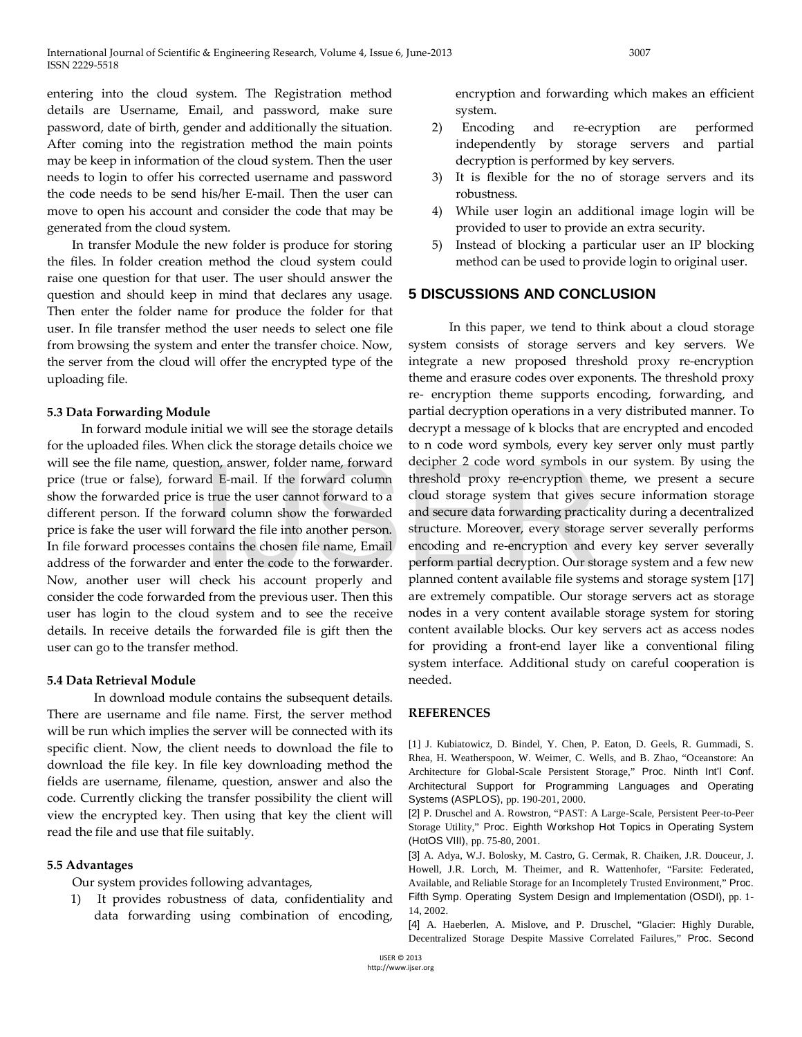entering into the cloud system. The Registration method details are Username, Email, and password, make sure password, date of birth, gender and additionally the situation. After coming into the registration method the main points may be keep in information of the cloud system. Then the user needs to login to offer his corrected username and password the code needs to be send his/her E-mail. Then the user can move to open his account and consider the code that may be generated from the cloud system.

 In transfer Module the new folder is produce for storing the files. In folder creation method the cloud system could raise one question for that user. The user should answer the question and should keep in mind that declares any usage. Then enter the folder name for produce the folder for that user. In file transfer method the user needs to select one file from browsing the system and enter the transfer choice. Now, the server from the cloud will offer the encrypted type of the uploading file.

#### **5.3 Data Forwarding Module**

 In forward module initial we will see the storage details for the uploaded files. When click the storage details choice we will see the file name, question, answer, folder name, forward price (true or false), forward E-mail. If the forward column show the forwarded price is true the user cannot forward to a different person. If the forward column show the forwarded price is fake the user will forward the file into another person. In file forward processes contains the chosen file name, Email address of the forwarder and enter the code to the forwarder. Now, another user will check his account properly and consider the code forwarded from the previous user. Then this user has login to the cloud system and to see the receive details. In receive details the forwarded file is gift then the user can go to the transfer method. France toward and extremely contact the providence of the presence of the presence of the server of the user cannot forward to a cloud storage system that gives a ward column show the forwarded and secure data forwarding p

## **5.4 Data Retrieval Module**

 In download module contains the subsequent details. There are username and file name. First, the server method will be run which implies the server will be connected with its specific client. Now, the client needs to download the file to download the file key. In file key downloading method the fields are username, filename, question, answer and also the code. Currently clicking the transfer possibility the client will view the encrypted key. Then using that key the client will read the file and use that file suitably.

## **5.5 Advantages**

Our system provides following advantages,

1) It provides robustness of data, confidentiality and data forwarding using combination of encoding,

encryption and forwarding which makes an efficient system.

- 2) Encoding and re-ecryption are performed independently by storage servers and partial decryption is performed by key servers.
- 3) It is flexible for the no of storage servers and its robustness.
- 4) While user login an additional image login will be provided to user to provide an extra security.
- 5) Instead of blocking a particular user an IP blocking method can be used to provide login to original user.

## **5 DISCUSSIONS AND CONCLUSION**

 In this paper, we tend to think about a cloud storage system consists of storage servers and key servers. We integrate a new proposed threshold proxy re-encryption theme and erasure codes over exponents. The threshold proxy re- encryption theme supports encoding, forwarding, and partial decryption operations in a very distributed manner. To decrypt a message of k blocks that are encrypted and encoded to n code word symbols, every key server only must partly decipher 2 code word symbols in our system. By using the threshold proxy re-encryption theme, we present a secure cloud storage system that gives secure information storage and secure data forwarding practicality during a decentralized structure. Moreover, every storage server severally performs encoding and re-encryption and every key server severally perform partial decryption. Our storage system and a few new planned content available file systems and storage system [17] are extremely compatible. Our storage servers act as storage nodes in a very content available storage system for storing content available blocks. Our key servers act as access nodes for providing a front-end layer like a conventional filing system interface. Additional study on careful cooperation is needed.

## **REFERENCES**

[1] J. Kubiatowicz, D. Bindel, Y. Chen, P. Eaton, D. Geels, R. Gummadi, S. Rhea, H. Weatherspoon, W. Weimer, C. Wells, and B. Zhao, "Oceanstore: An Architecture for Global-Scale Persistent Storage," Proc. Ninth Int'l Conf. Architectural Support for Programming Languages and Operating Systems (ASPLOS), pp. 190-201, 2000.

[2] P. Druschel and A. Rowstron, "PAST: A Large-Scale, Persistent Peer-to-Peer Storage Utility," Proc. Eighth Workshop Hot Topics in Operating System (HotOS VIII), pp. 75-80, 2001.

[3] A. Adya, W.J. Bolosky, M. Castro, G. Cermak, R. Chaiken, J.R. Douceur, J. Howell, J.R. Lorch, M. Theimer, and R. Wattenhofer, "Farsite: Federated, Available, and Reliable Storage for an Incompletely Trusted Environment," Proc. Fifth Symp. Operating System Design and Implementation (OSDI), pp. 1- 14, 2002.

[4] A. Haeberlen, A. Mislove, and P. Druschel, "Glacier: Highly Durable, Decentralized Storage Despite Massive Correlated Failures," Proc. Second